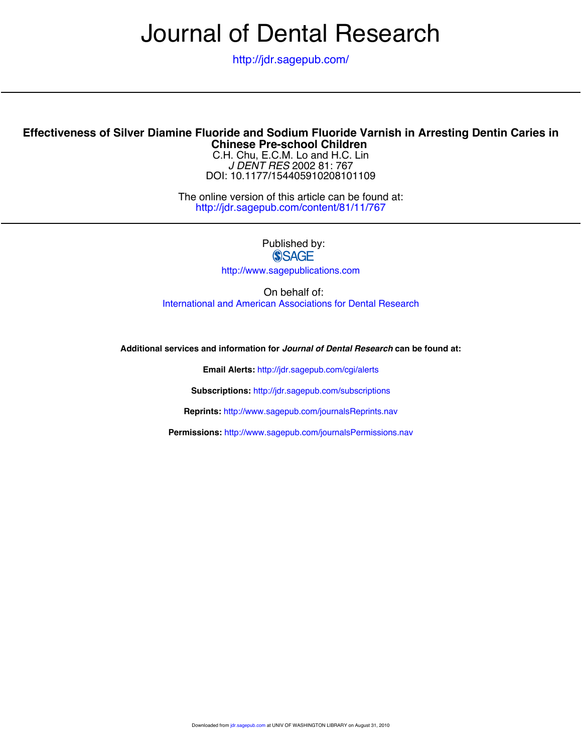# Journal of Dental Research

<http://jdr.sagepub.com/>

#### **Chinese Pre-school Children Effectiveness of Silver Diamine Fluoride and Sodium Fluoride Varnish in Arresting Dentin Caries in**

DOI: 10.1177/154405910208101109 *J DENT RES* 2002 81: 767 C.H. Chu, E.C.M. Lo and H.C. Lin

<http://jdr.sagepub.com/content/81/11/767> The online version of this article can be found at:

Published by:<br>
SAGE

<http://www.sagepublications.com>

On behalf of: [International and American Associations for Dental Research](http://www.dentalresearch.org/i4a/pages/index.cfm?pageid=3533)

**Additional services and information for** *Journal of Dental Research* **can be found at:**

**Email Alerts:** <http://jdr.sagepub.com/cgi/alerts>

**Subscriptions:** <http://jdr.sagepub.com/subscriptions>

**Reprints:** <http://www.sagepub.com/journalsReprints.nav>

**Permissions:** <http://www.sagepub.com/journalsPermissions.nav>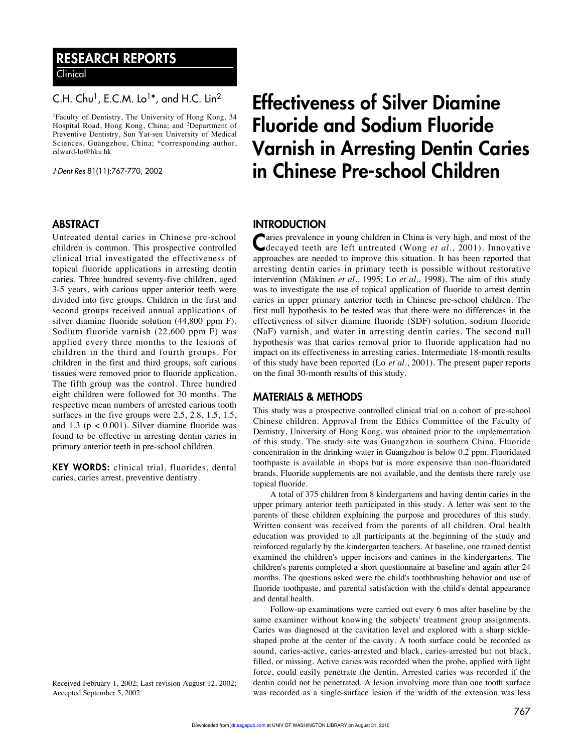### RESEARCH REPORTS

Clinical

#### C.H. Chu<sup>1</sup>, E.C.M. Lo<sup>1\*</sup>, and H.C. Lin<sup>2</sup>

1Faculty of Dentistry, The University of Hong Kong, 34 Hospital Road, Hong Kong, China; and 2Department of Preventive Dentistry, Sun Yat-sen University of Medical Sciences, Guangzhou, China; \*corresponding author, edward-lo@hku.hk

J Dent Res 81(11):767-770, 2002

#### ABSTRACT

Untreated dental caries in Chinese pre-school children is common. This prospective controlled clinical trial investigated the effectiveness of topical fluoride applications in arresting dentin caries. Three hundred seventy-five children, aged 3-5 years, with carious upper anterior teeth were divided into five groups. Children in the first and second groups received annual applications of silver diamine fluoride solution (44,800 ppm F). Sodium fluoride varnish (22,600 ppm F) was applied every three months to the lesions of children in the third and fourth groups. For children in the first and third groups, soft carious tissues were removed prior to fluoride application. The fifth group was the control. Three hundred eight children were followed for 30 months. The respective mean numbers of arrested carious tooth surfaces in the five groups were 2.5, 2.8, 1.5, 1.5, and 1.3 ( $p < 0.001$ ). Silver diamine fluoride was found to be effective in arresting dentin caries in primary anterior teeth in pre-school children.

KEY WORDS: clinical trial, fluorides, dental caries, caries arrest, preventive dentistry.

Received February 1, 2002; Last revision August 12, 2002; Accepted September 5, 2002

## Effectiveness of Silver Diamine Fluoride and Sodium Fluoride Varnish in Arresting Dentin Caries in Chinese Pre-school Children

#### **INTRODUCTION**

Caries prevalence in young children in China is very high, and most of the decayed teeth are left untreated (Wong *et al*., 2001). Innovative approaches are needed to improve this situation. It has been reported that arresting dentin caries in primary teeth is possible without restorative intervention (Mäkinen *et al*., 1995; Lo *et al*., 1998). The aim of this study was to investigate the use of topical application of fluoride to arrest dentin caries in upper primary anterior teeth in Chinese pre-school children. The first null hypothesis to be tested was that there were no differences in the effectiveness of silver diamine fluoride (SDF) solution, sodium fluoride (NaF) varnish, and water in arresting dentin caries. The second null hypothesis was that caries removal prior to fluoride application had no impact on its effectiveness in arresting caries. Intermediate 18-month results of this study have been reported (Lo *et al*., 2001). The present paper reports on the final 30-month results of this study.

#### MATERIALS & METHODS

This study was a prospective controlled clinical trial on a cohort of pre-school Chinese children. Approval from the Ethics Committee of the Faculty of Dentistry, University of Hong Kong, was obtained prior to the implementation of this study. The study site was Guangzhou in southern China. Fluoride concentration in the drinking water in Guangzhou is below 0.2 ppm. Fluoridated toothpaste is available in shops but is more expensive than non-fluoridated brands. Fluoride supplements are not available, and the dentists there rarely use topical fluoride.

A total of 375 children from 8 kindergartens and having dentin caries in the upper primary anterior teeth participated in this study. A letter was sent to the parents of these children explaining the purpose and procedures of this study. Written consent was received from the parents of all children. Oral health education was provided to all participants at the beginning of the study and reinforced regularly by the kindergarten teachers. At baseline, one trained dentist examined the children's upper incisors and canines in the kindergartens. The children's parents completed a short questionnaire at baseline and again after 24 months. The questions asked were the child's toothbrushing behavior and use of fluoride toothpaste, and parental satisfaction with the child's dental appearance and dental health.

Follow-up examinations were carried out every 6 mos after baseline by the same examiner without knowing the subjects' treatment group assignments. Caries was diagnosed at the cavitation level and explored with a sharp sickleshaped probe at the center of the cavity. A tooth surface could be recorded as sound, caries-active, caries-arrested and black, caries-arrested but not black, filled, or missing. Active caries was recorded when the probe, applied with light force, could easily penetrate the dentin. Arrested caries was recorded if the dentin could not be penetrated. A lesion involving more than one tooth surface was recorded as a single-surface lesion if the width of the extension was less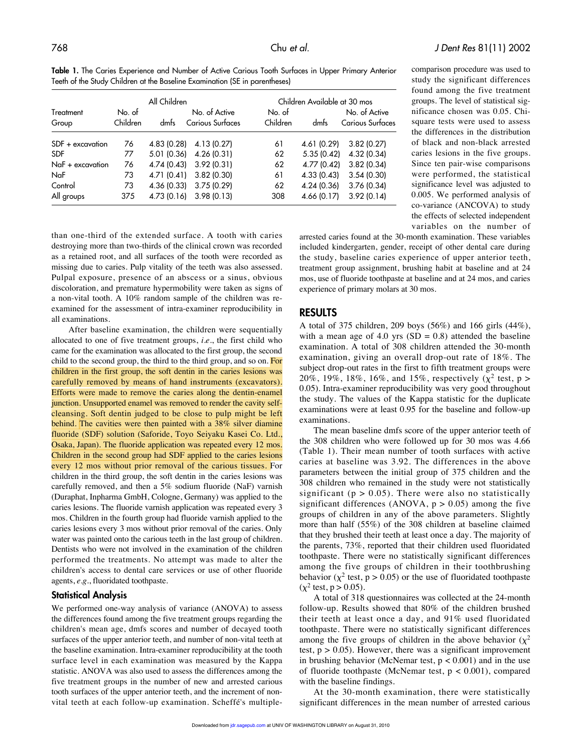Table 1. The Caries Experience and Number of Active Carious Tooth Surfaces in Upper Primary Anterior Teeth of the Study Children at the Baseline Examination (SE in parentheses)

|                    | All Children       |             |                                   | Children Available at 30 mos |             |                                   |  |
|--------------------|--------------------|-------------|-----------------------------------|------------------------------|-------------|-----------------------------------|--|
| Treatment<br>Group | No. of<br>Children | dmfs        | No. of Active<br>Carious Surfaces | No. of<br>Children           | dmfs        | No. of Active<br>Carious Surfaces |  |
| SDF + excavation   | 76                 | 4.83 (0.28) | 4.13 (0.27)                       | 61                           | 4.61 (0.29) | 3.82(0.27)                        |  |
| <b>SDF</b>         | 77                 | 5.01 (0.36) | 4.26(0.31)                        | 62                           | 5.35(0.42)  | 4.32 (0.34)                       |  |
| $NaF +$ excavation | 76                 | 4.74 (0.43) | 3.92(0.31)                        | 62                           | 4.77 (0.42) | 3.82(0.34)                        |  |
| NaF                | 73                 | 4.71 (0.41) | 3.82(0.30)                        | 61                           | 4.33(0.43)  | 3.54(0.30)                        |  |
| Control            | 73                 | 4.36 (0.33) | 3.75(0.29)                        | 62                           | 4.24 (0.36) | 3.76(0.34)                        |  |
| All groups         | 375                | 4.73 (0.16) | 3.98(0.13)                        | 308                          | 4.66 (0.17) | 3.92(0.14)                        |  |

comparison procedure was used to study the significant differences found among the five treatment groups. The level of statistical significance chosen was 0.05. Chisquare tests were used to assess the differences in the distribution of black and non-black arrested caries lesions in the five groups. Since ten pair-wise comparisons were performed, the statistical significance level was adjusted to 0.005. We performed analysis of co-variance (ANCOVA) to study the effects of selected independent variables on the number of

than one-third of the extended surface. A tooth with caries destroying more than two-thirds of the clinical crown was recorded as a retained root, and all surfaces of the tooth were recorded as missing due to caries. Pulp vitality of the teeth was also assessed. Pulpal exposure, presence of an abscess or a sinus, obvious discoloration, and premature hypermobility were taken as signs of a non-vital tooth. A 10% random sample of the children was reexamined for the assessment of intra-examiner reproducibility in all examinations.

After baseline examination, the children were sequentially allocated to one of five treatment groups, *i.e.*, the first child who came for the examination was allocated to the first group, the second child to the second group, the third to the third group, and so on. For children in the first group, the soft dentin in the caries lesions was carefully removed by means of hand instruments (excavators). Efforts were made to remove the caries along the dentin-enamel junction. Unsupported enamel was removed to render the cavity selfcleansing. Soft dentin judged to be close to pulp might be left behind. The cavities were then painted with a 38% silver diamine fluoride (SDF) solution (Saforide, Toyo Seiyaku Kasei Co. Ltd., Osaka, Japan). The fluoride application was repeated every 12 mos. Children in the second group had SDF applied to the caries lesions every 12 mos without prior removal of the carious tissues. For children in the third group, the soft dentin in the caries lesions was carefully removed, and then a 5% sodium fluoride (NaF) varnish (Duraphat, Inpharma GmbH, Cologne, Germany) was applied to the caries lesions. The fluoride varnish application was repeated every 3 mos. Children in the fourth group had fluoride varnish applied to the caries lesions every 3 mos without prior removal of the caries. Only water was painted onto the carious teeth in the last group of children. Dentists who were not involved in the examination of the children performed the treatments. No attempt was made to alter the children's access to dental care services or use of other fluoride agents, *e.g.*, fluoridated toothpaste.

#### Statistical Analysis

We performed one-way analysis of variance (ANOVA) to assess the differences found among the five treatment groups regarding the children's mean age, dmfs scores and number of decayed tooth surfaces of the upper anterior teeth, and number of non-vital teeth at the baseline examination. Intra-examiner reproducibility at the tooth surface level in each examination was measured by the Kappa statistic. ANOVA was also used to assess the differences among the five treatment groups in the number of new and arrested carious tooth surfaces of the upper anterior teeth, and the increment of nonvital teeth at each follow-up examination. Scheffé's multiplearrested caries found at the 30-month examination. These variables included kindergarten, gender, receipt of other dental care during the study, baseline caries experience of upper anterior teeth, treatment group assignment, brushing habit at baseline and at 24 mos, use of fluoride toothpaste at baseline and at 24 mos, and caries experience of primary molars at 30 mos.

#### RESULTS

A total of 375 children, 209 boys (56%) and 166 girls (44%), with a mean age of 4.0 yrs  $(SD = 0.8)$  attended the baseline examination. A total of 308 children attended the 30-month examination, giving an overall drop-out rate of 18%. The subject drop-out rates in the first to fifth treatment groups were 20%, 19%, 18%, 16%, and 15%, respectively ( $\chi^2$  test, p > 0.05). Intra-examiner reproducibility was very good throughout the study. The values of the Kappa statistic for the duplicate examinations were at least 0.95 for the baseline and follow-up examinations.

The mean baseline dmfs score of the upper anterior teeth of the 308 children who were followed up for 30 mos was 4.66 (Table 1). Their mean number of tooth surfaces with active caries at baseline was 3.92. The differences in the above parameters between the initial group of 375 children and the 308 children who remained in the study were not statistically significant ( $p > 0.05$ ). There were also no statistically significant differences (ANOVA,  $p > 0.05$ ) among the five groups of children in any of the above parameters. Slightly more than half (55%) of the 308 children at baseline claimed that they brushed their teeth at least once a day. The majority of the parents, 73%, reported that their children used fluoridated toothpaste. There were no statistically significant differences among the five groups of children in their toothbrushing behavior ( $\chi^2$  test, p > 0.05) or the use of fluoridated toothpaste  $(y^2 \text{ test}, p > 0.05)$ .

A total of 318 questionnaires was collected at the 24-month follow-up. Results showed that 80% of the children brushed their teeth at least once a day, and 91% used fluoridated toothpaste. There were no statistically significant differences among the five groups of children in the above behavior  $(\chi^2)$ test,  $p > 0.05$ ). However, there was a significant improvement in brushing behavior (McNemar test,  $p < 0.001$ ) and in the use of fluoride toothpaste (McNemar test,  $p < 0.001$ ), compared with the baseline findings.

At the 30-month examination, there were statistically significant differences in the mean number of arrested carious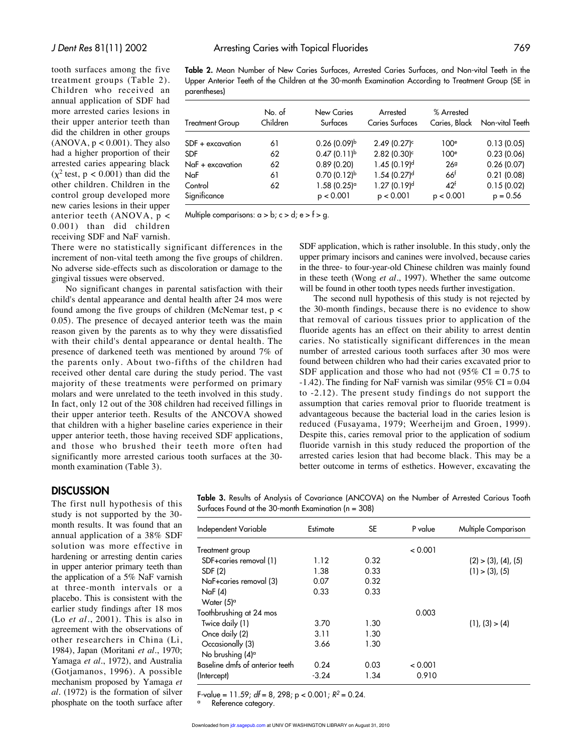tooth surfaces among the five treatment groups (Table 2). Children who received an annual application of SDF had more arrested caries lesions in their upper anterior teeth than did the children in other groups  $(ANOVA, p < 0.001)$ . They also had a higher proportion of their arrested caries appearing black  $(\chi^2 \text{ test}, p < 0.001)$  than did the other children. Children in the control group developed more new caries lesions in their upper anterior teeth (ANOVA, p < 0.001) than did children receiving SDF and NaF varnish.

Table 2. Mean Number of New Caries Surfaces, Arrested Caries Surfaces, and Non-vital Teeth in the Upper Anterior Teeth of the Children at the 30-month Examination According to Treatment Group (SE in parentheses)

| <b>Treatment Group</b>  | No. of<br>Children | New Caries<br>Surfaces                 | Arrested<br><b>Caries Surfaces</b> | % Arrested<br>Caries, Black  | Non-vital Teeth          |
|-------------------------|--------------------|----------------------------------------|------------------------------------|------------------------------|--------------------------|
| SDF + excavation        | 61                 | $0.26(0.09)^{b}$                       | $2.49(0.27)^c$                     | 100 <sup>e</sup>             | 0.13(0.05)               |
| <b>SDF</b>              | 62                 | $0.47(0.11)^{b}$                       | $2.82$ (0.30) <sup>c</sup>         | 100 <sup>e</sup>             | 0.23(0.06)               |
| NaF + excavation        | 62                 | 0.89(0.20)                             | $1.45(0.19)^d$                     | 269                          | 0.26(0.07)               |
| NaF                     | 61                 | $0.70(0.12)^{b}$                       | $1.54(0.27)^d$                     | 66 <sup>†</sup>              | 0.21(0.08)               |
| Control<br>Significance | 62                 | $1.58(0.25)$ <sup>a</sup><br>p < 0.001 | $1.27(0.19)^d$<br>p < 0.001        | 42 <sup>†</sup><br>p < 0.001 | 0.15(0.02)<br>$p = 0.56$ |

Multiple comparisons:  $a > b$ ;  $c > d$ ;  $e > f > g$ .

There were no statistically significant differences in the increment of non-vital teeth among the five groups of children. No adverse side-effects such as discoloration or damage to the gingival tissues were observed.

No significant changes in parental satisfaction with their child's dental appearance and dental health after 24 mos were found among the five groups of children (McNemar test, p < 0.05). The presence of decayed anterior teeth was the main reason given by the parents as to why they were dissatisfied with their child's dental appearance or dental health. The presence of darkened teeth was mentioned by around 7% of the parents only. About two-fifths of the children had received other dental care during the study period. The vast majority of these treatments were performed on primary molars and were unrelated to the teeth involved in this study. In fact, only 12 out of the 308 children had received fillings in their upper anterior teeth. Results of the ANCOVA showed that children with a higher baseline caries experience in their upper anterior teeth, those having received SDF applications, and those who brushed their teeth more often had significantly more arrested carious tooth surfaces at the 30 month examination (Table 3).

SDF application, which is rather insoluble. In this study, only the upper primary incisors and canines were involved, because caries in the three- to four-year-old Chinese children was mainly found in these teeth (Wong *et al*., 1997). Whether the same outcome will be found in other tooth types needs further investigation.

The second null hypothesis of this study is not rejected by the 30-month findings, because there is no evidence to show that removal of carious tissues prior to application of the fluoride agents has an effect on their ability to arrest dentin caries. No statistically significant differences in the mean number of arrested carious tooth surfaces after 30 mos were found between children who had their caries excavated prior to SDF application and those who had not  $(95\% \text{ CI} = 0.75 \text{ to}$ -1.42). The finding for NaF varnish was similar (95% CI =  $0.04$ ) to -2.12). The present study findings do not support the assumption that caries removal prior to fluoride treatment is advantageous because the bacterial load in the caries lesion is reduced (Fusayama, 1979; Weerheijm and Groen, 1999). Despite this, caries removal prior to the application of sodium fluoride varnish in this study reduced the proportion of the arrested caries lesion that had become black. This may be a better outcome in terms of esthetics. However, excavating the

#### **DISCUSSION**

The first null hypothesis of this study is not supported by the 30 month results. It was found that an annual application of a 38% SDF solution was more effective in hardening or arresting dentin caries in upper anterior primary teeth than the application of a 5% NaF varnish at three-month intervals or a placebo. This is consistent with the earlier study findings after 18 mos (Lo *et al*., 2001). This is also in agreement with the observations of other researchers in China (Li, 1984), Japan (Moritani *et al*., 1970; Yamaga *et al*., 1972), and Australia (Gotjamanos, 1996). A possible mechanism proposed by Yamaga *et al*. (1972) is the formation of silver phosphate on the tooth surface after

Table 3. Results of Analysis of Covariance (ANCOVA) on the Number of Arrested Carious Tooth Surfaces Found at the 30-month Examination (n = 308)

| Independent Variable            | Estimate | <b>SE</b> | P value | Multiple Comparison           |
|---------------------------------|----------|-----------|---------|-------------------------------|
| Treatment group                 |          |           | < 0.001 |                               |
| SDF+caries removal (1)          | 1.12     | 0.32      |         | $(2)$ > $(3)$ , $(4)$ , $(5)$ |
| SDF (2)                         | 1.38     | 0.33      |         | $(1)$ > $(3)$ , $(5)$         |
| NaF+caries removal (3)          | 0.07     | 0.32      |         |                               |
| Naf(4)                          | 0.33     | 0.33      |         |                               |
| Water $(5)^\alpha$              |          |           |         |                               |
| Toothbrushing at 24 mos         |          |           | 0.003   |                               |
| Twice daily (1)                 | 3.70     | 1.30      |         | (1), (3) > (4)                |
| Once daily (2)                  | 3.11     | 1.30      |         |                               |
| Occasionally (3)                | 3.66     | 1.30      |         |                               |
| No brushing $(4)^\alpha$        |          |           |         |                               |
| Baseline dmfs of anterior teeth | 0.24     | 0.03      | < 0.001 |                               |
| (Intercept)                     | $-3.24$  | 1.34      | 0.910   |                               |

F-value = 11.59;  $df = 8$ , 298; p < 0.001;  $R^2 = 0.24$ .

Reference category.